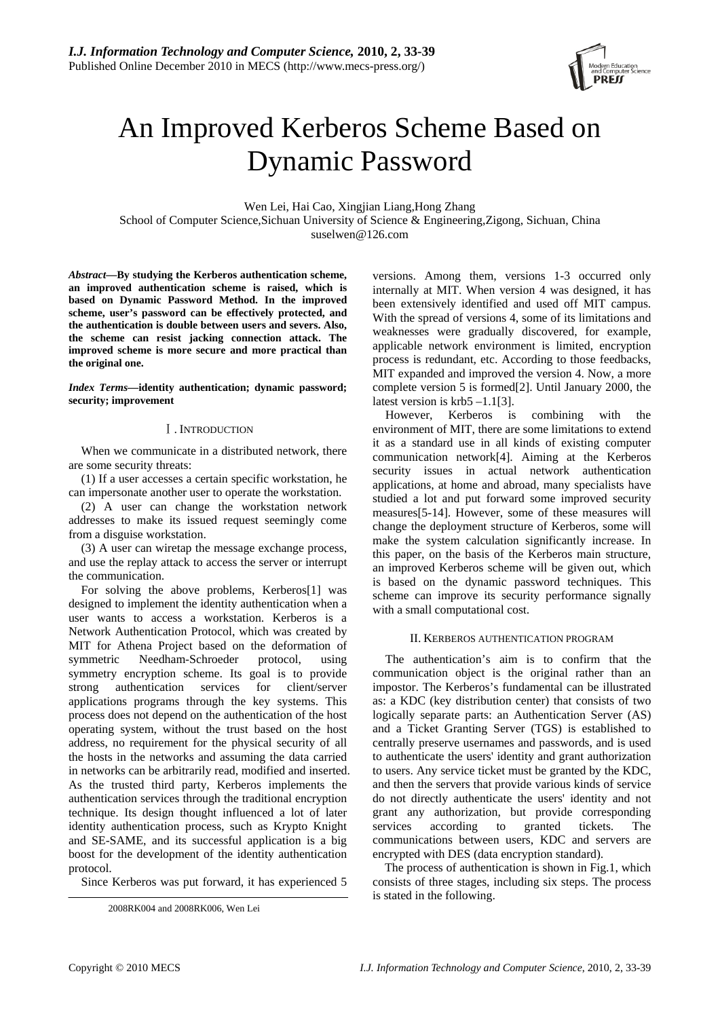

# An Improved Kerberos Scheme Based on Dynamic Password

Wen Lei, Hai Cao, Xingjian Liang,Hong Zhang School of Computer Science,Sichuan University of Science & Engineering,Zigong, Sichuan, China suselwen@126.com

*Abstract***—By studying the Kerberos authentication scheme, an improved authentication scheme is raised, which is based on Dynamic Password Method. In the improved scheme, user's password can be effectively protected, and the authentication is double between users and severs. Also, the scheme can resist jacking connection attack. The improved scheme is more secure and more practical than the original one.** 

*Index Terms***—identity authentication; dynamic password; security; improvement** 

# Ⅰ. INTRODUCTION

When we communicate in a distributed network, there are some security threats:

(1) If a user accesses a certain specific workstation, he can impersonate another user to operate the workstation.

(2) A user can change the workstation network addresses to make its issued request seemingly come from a disguise workstation.

(3) A user can wiretap the message exchange process, and use the replay attack to access the server or interrupt the communication.

For solving the above problems, Kerberos[1] was designed to implement the identity authentication when a user wants to access a workstation. Kerberos is a Network Authentication Protocol, which was created by MIT for Athena Project based on the deformation of symmetric Needham-Schroeder protocol, using symmetry encryption scheme. Its goal is to provide strong authentication services for client/server applications programs through the key systems. This process does not depend on the authentication of the host operating system, without the trust based on the host address, no requirement for the physical security of all the hosts in the networks and assuming the data carried in networks can be arbitrarily read, modified and inserted. As the trusted third party, Kerberos implements the authentication services through the traditional encryption technique. Its design thought influenced a lot of later identity authentication process, such as Krypto Knight and SE-SAME, and its successful application is a big boost for the development of the identity authentication protocol.

Since Kerberos was put forward, it has experienced 5

versions. Among them, versions 1-3 occurred only internally at MIT. When version 4 was designed, it has been extensively identified and used off MIT campus. With the spread of versions 4, some of its limitations and weaknesses were gradually discovered, for example, applicable network environment is limited, encryption process is redundant, etc. According to those feedbacks, MIT expanded and improved the version 4. Now, a more complete version 5 is formed[2]. Until January 2000, the latest version is krb5 –1.1[3].

However, Kerberos is combining with the environment of MIT, there are some limitations to extend it as a standard use in all kinds of existing computer communication network[4]. Aiming at the Kerberos security issues in actual network authentication applications, at home and abroad, many specialists have studied a lot and put forward some improved security measures[5-14]. However, some of these measures will change the deployment structure of Kerberos, some will make the system calculation significantly increase. In this paper, on the basis of the Kerberos main structure, an improved Kerberos scheme will be given out, which is based on the dynamic password techniques. This scheme can improve its security performance signally with a small computational cost.

# II. KERBEROS AUTHENTICATION PROGRAM

The authentication's aim is to confirm that the communication object is the original rather than an impostor. The Kerberos's fundamental can be illustrated as: a KDC (key distribution center) that consists of two logically separate parts: an Authentication Server (AS) and a Ticket Granting Server (TGS) is established to centrally preserve usernames and passwords, and is used to authenticate the users' identity and grant authorization to users. Any service ticket must be granted by the KDC, and then the servers that provide various kinds of service do not directly authenticate the users' identity and not grant any authorization, but provide corresponding services according to granted tickets. The communications between users, KDC and servers are encrypted with DES (data encryption standard).

The process of authentication is shown in Fig.1, which consists of three stages, including six steps. The process is stated in the following.

<sup>2008</sup>RK004 and 2008RK006, Wen Lei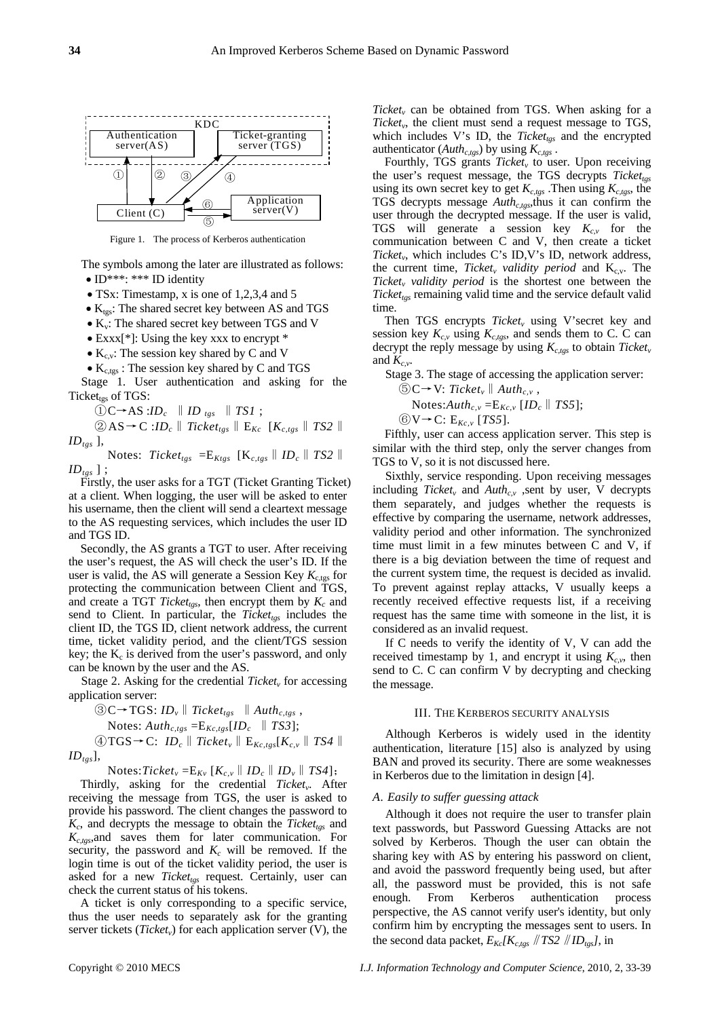

Figure 1. The process of Kerberos authentication

The symbols among the later are illustrated as follows: • ID\*\*\*: \*\*\* ID identity

- TSx: Timestamp, x is one of 1,2,3,4 and 5
- $\bullet$  K<sub>tgs</sub>: The shared secret key between AS and TGS
- $\bullet$  K<sub>v</sub>: The shared secret key between TGS and V
- Exxx<sup>[\*]</sup>: Using the key xxx to encrypt  $*$
- $K_{c,v}$ : The session key shared by C and V
- $\bullet$  K<sub>c,tgs</sub>: The session key shared by C and TGS

Stage 1. User authentication and asking for the Ticket $_{\text{tgs}}$  of TGS:

 $\textcircled{1}C \rightarrow AS : ID_c \parallel ID_{tgs} \parallel TSI ;$ 

$$
\textcircled{2} \text{AS} \rightarrow \text{C} : ID_c \parallel Ticket_{tgs} \parallel E_{Kc} \quad [K_{c,tgs} \parallel TS2 \parallel \text{ID}_{tgs}],
$$

Notes:  $Ticket_{tgs} = E_{Ktgs} [K_{c,tgs} || ID_c || TS2 ||$  $ID_{tgs}$ ];

Firstly, the user asks for a TGT (Ticket Granting Ticket) at a client. When logging, the user will be asked to enter his username, then the client will send a cleartext message to the AS requesting services, which includes the user ID and TGS ID.

Secondly, the AS grants a TGT to user. After receiving the user's request, the AS will check the user's ID. If the user is valid, the AS will generate a Session Key  $K_{\text{c,tgs}}$  for protecting the communication between Client and TGS, and create a TGT *Ticket<sub>tgs</sub>*, then encrypt them by  $K_c$  and send to Client. In particular, the *Ticket<sub>tes</sub>* includes the client ID, the TGS ID, client network address, the current time, ticket validity period, and the client/TGS session key; the  $K_c$  is derived from the user's password, and only can be known by the user and the AS.

Stage 2. Asking for the credential  $Ticket_v$  for accessing application server:

$$
\textcircled{3} C \rightarrow TGS: ID_{v} \parallel Ticket_{tgs} \parallel Author_{c,tgs},
$$

Notes: 
$$
Author_{c, tgs} = E_{Kc, tgs}[ID_c \parallel TS3];
$$

④TGS→C: *IDc*‖*Ticketv*‖E*Kc,tgs*[*Kc,v*‖*TS4*‖  $ID_{tes}$ ],

Notes:*Ticket<sub>v</sub>* = $E_{Kv}$  [ $K_{c,v}$  ||  $ID_c$  ||  $ID_v$  ||  $TS4$ ];

Thirdly, asking for the credential *Ticket<sub>v</sub>*. After receiving the message from TGS, the user is asked to provide his password. The client changes the password to  $K_c$ , and decrypts the message to obtain the *Ticket<sub>tes</sub>* and *Kc,tgs*,and saves them for later communication. For security, the password and  $K_c$  will be removed. If the login time is out of the ticket validity period, the user is asked for a new *Ticket<sub>tgs</sub>* request. Certainly, user can check the current status of his tokens.

A ticket is only corresponding to a specific service, thus the user needs to separately ask for the granting server tickets (*Ticket<sub>v</sub>*) for each application server (V), the *Ticket<sub>v</sub>* can be obtained from TGS. When asking for a *Ticketv*, the client must send a request message to TGS, which includes V's ID, the *Ticket<sub>tgs</sub>* and the encrypted which includes  $\sqrt{s}$  is  $\frac{1}{2}$ , the *Tienergs* .

Ticket<sub>tgs</sub> remaining valid time and the service default valid time. Fourthly, TGS grants *Ticket<sub>v</sub>* to user. Upon receiving the user's request message, the TGS decrypts *Ticket<sub>tes</sub>* using its own secret key to get  $K_{c, \text{tgs}}$ . Then using  $K_{c, \text{tgs}}$ , the TGS decrypts message *Auth<sub>c,tgs</sub>*,thus it can confirm the user through the decrypted message. If the user is valid, TGS will generate a session key  $K_{c,v}$  for the communication between C and V, then create a ticket *Ticketv*, which includes C's ID,V's ID, network address, the current time, *Ticket<sub>v</sub> validity period* and  $K_{c,v}$ . The *Ticket<sub>v</sub> validity period* is the shortest one between the

decrypt the reply message by using  $K_{c, \text{tgs}}$  to obtain *Ticket* and  $K_{c,\nu}$ . Then TGS encrypts *Ticket<sub>v</sub>* using V'secret key and session key  $K_{c,v}$  using  $K_{c, \text{tgs}}$ , and sends them to C. C can

Stage 3. The stage of accessing the application server:

$$
\textcircled{5} C \rightarrow V: \text{Ticket}_{v} \parallel \text{Auth}_{c,v},
$$

Notes: $\text{Aut}h_{c,v} = E_{Kc,v}$  [ID<sub>c</sub> || TS5];

⑥V→C: E*Kc,v* [*TS5*].

similar with the third step, only the server changes from TG S to V, so it is not discussed here. Fifthly, user can access application server. This step is

request has the same time with someone in the list, it is co nsidered as an invalid request. Sixthly, service responding. Upon receiving messages including  $Ticket_v$  and  $Auth_{c,v}$ , sent by user, V decrypts them separately, and judges whether the requests is effective by comparing the username, network addresses, validity period and other information. The synchronized time must limit in a few minutes between C and V, if there is a big deviation between the time of request and the current system time, the request is decided as invalid. To prevent against replay attacks, V usually keeps a recently received effective requests list, if a receiving

send to C. C can confirm V by decrypting and checking the message. If C needs to verify the identity of V, V can add the received timestamp by 1, and encrypt it using  $K_{c,v}$ , then

# III. THE KERBEROS SECURITY ANALYSIS

BAN and proved its security. There are some weaknesses in Kerberos due to the limitation in design [4]. Although Kerberos is widely used in the identity authentication, literature [15] also is analyzed by using

# *A. Easily to suffer guessing attack*

confirm him by encrypting the messages sent to users. In the second data packet,  $E_{Kc}/K_{c,tgs}$  // *TS2* // *ID<sub>tgs</sub>*], in Although it does not require the user to transfer plain text passwords, but Password Guessing Attacks are not solved by Kerberos. Though the user can obtain the sharing key with AS by entering his password on client, and avoid the password frequently being used, but after all, the password must be provided, this is not safe enough. From Kerberos authentication process perspective, the AS cannot verify user's identity, but only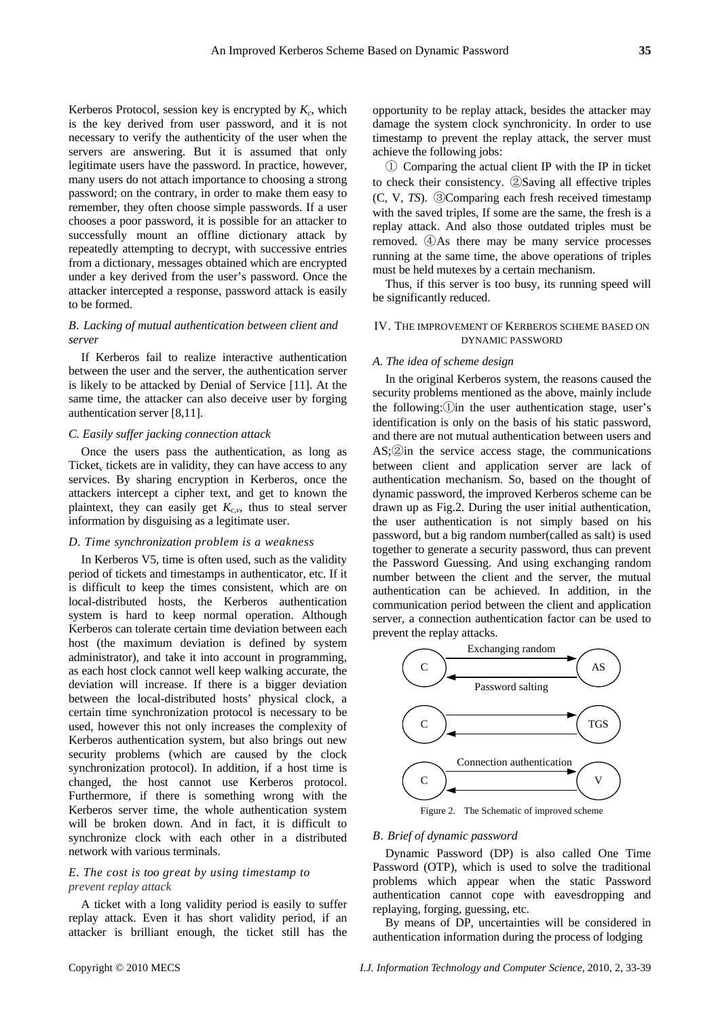Kerberos Protocol, session key is encrypted by  $K_c$ , which is the key derived from user password, and it is not necessary to verify the authenticity of the user when the servers are answering. But it is assumed that only legitimate users have the password. In practice, however, many users do not attach importance to choosing a strong password; on the contrary, in order to make them easy to remember, they often choose simple passwords. If a user chooses a poor password, it is possible for an attacker to successfully mount an offline dictionary attack by repeatedly attempting to decrypt, with successive entries from a dictionary, messages obtained which are encrypted under a key derived from the user's password. Once the attacker intercepted a response, password attack is easily to be formed.

# *B. Lacking of mutual authentication between client and server*

If Kerberos fail to realize interactive authentication between the user and the server, the authentication server is likely to be attacked by Denial of Service [11]. At the same time, the attacker can also deceive user by forging authentication server [8,11].

# *C. Easily suffer jacking connection attack*

Once the users pass the authentication, as long as Ticket, tickets are in validity, they can have access to any services. By sharing encryption in Kerberos, once the attackers intercept a cipher text, and get to known the plaintext, they can easily get  $K_{c,v}$ , thus to steal server information by disguising as a legitimate user.

#### *D. Time synchronization problem is a weakness*

In Kerberos V5, time is often used, such as the validity period of tickets and timestamps in authenticator, etc. If it is difficult to keep the times consistent, which are on local-distributed hosts, the Kerberos authentication system is hard to keep normal operation. Although Kerberos can tolerate certain time deviation between each host (the maximum deviation is defined by system administrator), and take it into account in programming, as each host clock cannot well keep walking accurate, the deviation will increase. If there is a bigger deviation between the local-distributed hosts' physical clock, a certain time synchronization protocol is necessary to be used, however this not only increases the complexity of Kerberos authentication system, but also brings out new security problems (which are caused by the clock synchronization protocol). In addition, if a host time is changed, the host cannot use Kerberos protocol. Furthermore, if there is something wrong with the Kerberos server time, the whole authentication system will be broken down. And in fact, it is difficult to synchronize clock with each other in a distributed network with various terminals.

# *E. The cost is too great by using timestamp to prevent replay attack*

A ticket with a long validity period is easily to suffer replay attack. Even it has short validity period, if an attacker is brilliant enough, the ticket still has the opportunity to be replay attack, besides the attacker may damage the system clock synchronicity. In order to use timestamp to prevent the replay attack, the server must achieve the following jobs:

① Comparing the actual client IP with the IP in ticket to check their consistency. ②Saving all effective triples (C, V, *TS*). ③Comparing each fresh received timestamp with the saved triples, If some are the same, the fresh is a replay attack. And also those outdated triples must be removed. ④As there may be many service processes running at the same time, the above operations of triples must be held mutexes by a certain mechanism.

Thus, if this server is too busy, its running speed will be significantly reduced.

# IV. THE IMPROVEMENT OF KERBEROS SCHEME BASED ON DYNAMIC PASSWORD

#### *A. The idea of scheme design*

In the original Kerberos system, the reasons caused the security problems mentioned as the above, mainly include the following: $(i)$  in the user authentication stage, user's identification is only on the basis of his static password, and there are not mutual authentication between users and AS;②in the service access stage, the communications between client and application server are lack of authentication mechanism. So, based on the thought of dynamic password, the improved Kerberos scheme can be drawn up as Fig.2. During the user initial authentication, the user authentication is not simply based on his password, but a big random number(called as salt) is used together to generate a security password, thus can prevent the Password Guessing. And using exchanging random number between the client and the server, the mutual authentication can be achieved. In addition, in the communication period between the client and application server, a connection authentication factor can be used to prevent the replay attacks.



Figure 2. The Schematic of improved scheme

#### *B. Brief of dynamic password*

Dynamic Password (DP) is also called One Time Password (OTP), which is used to solve the traditional problems which appear when the static Password authentication cannot cope with eavesdropping and replaying, forging, guessing, etc.

By means of DP, uncertainties will be considered in authentication information during the process of lodging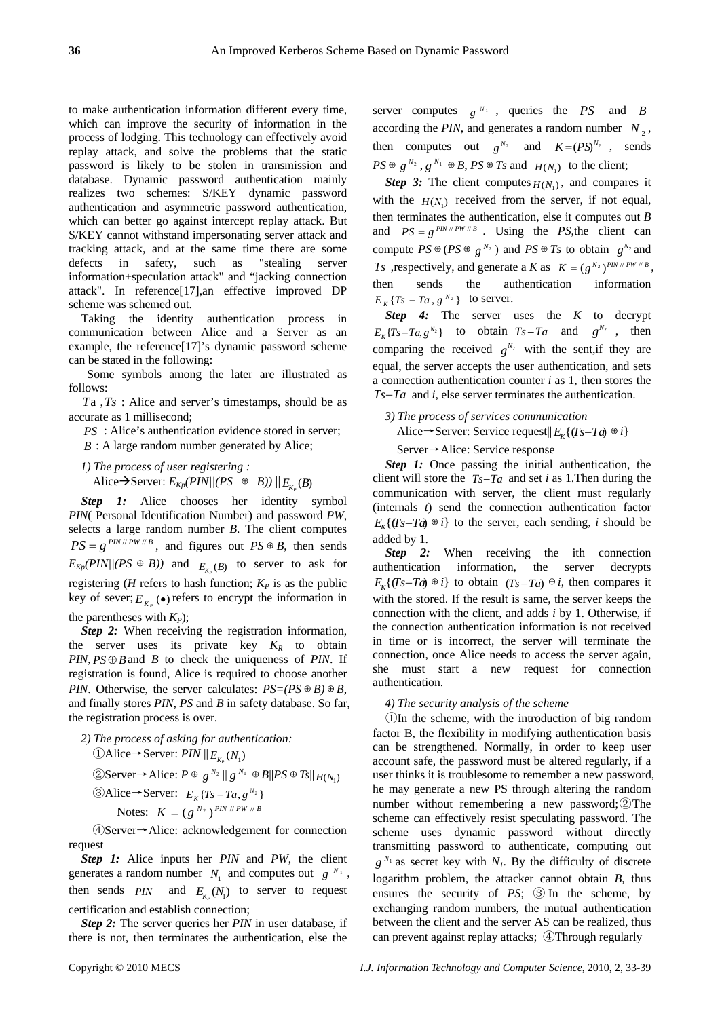to make authentication information different every time, which can improve the security of information in the process of lodging. This technology can effectively avoid replay attack, and solve the problems that the static password is likely to be stolen in transmission and database. Dynamic password authentication mainly realizes two schemes: S/KEY dynamic password authentication and asymmetric password authentication, which can better go against intercept replay attack. But S/KEY cannot withstand impersonating server attack and tracking attack, and at the same time there are some defects in safety, such as "stealing server information+speculation attack" and "jacking connection attack". In reference[17],an effective improved DP scheme was schemed out.

Taking the identity authentication process in communication between Alice and a Server as an example, the reference[17]'s dynamic password scheme can be stated in the following:

 Some symbols among the later are illustrated as follows:

*T*a ,*Ts* : Alice and server's timestamps, should be as accurate as 1 millisecond;

*PS* : Alice's authentication evidence stored in server;

*B* : A large random number generated by Alice;

*1) The process of user registering :*  Alice  $\rightarrow$  Server:  $E_{Kp}(PIN)/(PS \oplus B)) ||_{E_{Kp}}(B)$ 

**Step 1:** Alice chooses her identity symbol *PIN*( Personal Identification Number) and password *PW*, selects a large random number *B*. The client computes  $PS = g^{PIN/PW/B}$ , and figures out  $PS \oplus B$ , then sends  $E_{Kp}(PIN\mid/(PS \oplus B))$  and  $E_{Kp}(B)$  to server to ask for registering ( $H$  refers to hash function;  $K_P$  is as the public key of sever;  $E_{K_p}(\bullet)$  refers to encrypt the information in the parentheses with  $K_P$ );

**Step 2:** When receiving the registration information, the server uses its private key  $K_R$  to obtain  $PIN, PS \oplus B$  and *B* to check the uniqueness of *PIN*. If registration is found, Alice is required to choose another *PIN*. Otherwise, the server calculates:  $PS=(PS \oplus B) \oplus B$ , and finally stores *PIN*, *PS* and *B* in safety database. So far, the registration process is over.

2) The process of asking for authentication:  
\n①Alice → Server: PIN ||
$$
E_{K_P}(N_1)
$$
  
\n②Server → Alice:  $P \oplus g^{N_2} || g^{N_1} \oplus B||PS \oplus Ts||_{H(N_1)}$   
\n③Alice → Server:  $E_K \{Ts - Ta, g^{N_2}\}$   
\nNotes:  $K = (g^{N_2})^{PIN / PIV / B}$ 

④Server→Alice: acknowledgement for connection request

*Step 1:* Alice inputs her *PIN* and *PW*, the client generates a random number  $N_1$  and computes out  $g^{N_1}$ , then sends  $PIN$  and  $E_{K_p}(N_1)$  to server to request certification and establish connection;

*Step 2:* The server queries her *PIN* in user database, if there is not, then terminates the authentication, else the server computes  $g^{N_1}$ , queries the *PS* and *B* according the *PIN*, and generates a random number  $N_2$ , then computes out  $g^{N_2}$  and  $K = (PS)^{N_2}$ , sends  $PS \oplus g^{N_2}$ ,  $g^{N_1} \oplus B$ ,  $PS \oplus Ts$  and  $H(N_1)$  to the client;

*Step 3:* The client computes  $H(N_1)$ , and compares it with the  $H(N_1)$  received from the server, if not equal, then terminates the authentication, else it computes out *B* and  $PS = g^{PN \#PW \#B}$ . Using the *PS*, the client can compute  $PS \oplus (PS \oplus g^{N_2})$  and  $PS \oplus Ts$  to obtain  $g^{N_2}$  and *Ts* , respectively, and generate a *K* as  $K = (g^{N_2})^{PN \# PW \# B}$ , authentication information  $E_K \{Ts - Ta, g^{N_2}\}\$  to server. sends the then

*Step 4:* The server uses the *K* to decrypt  $E_K \{Ts - Ta, g^{N_2}\}\$  to obtain  $Ts - Ta$  and  $g^{N_2}$ , then comparing the received  $g^{N_2}$  with the sent, if they are equal, the server accepts the user authentication, and sets a connection authentication counter *i* as 1, then stores the  $Ts$  –  $Ta$  and *i*, else server terminates the authentication.

# *3) The process of services communication* Alice→Server: Service request $|| E_{K} \{ (Ts-Ta) \oplus i \}$

Server→Alice: Service response

*Step 1:* Once passing the initial authentication, the client will store the  $T<sub>S</sub> - T<sub>a</sub>$  and set *i* as 1. Then during the communication with server, the client must regularly (internals *t*) send the connection authentication factor  $E_{\kappa} \{ (Ts-Ta) \oplus i \}$  to the server, each sending, *i* should be added by 1.

**Step 2:** When receiving the ith connection authentication information, the server decrypts  $E_K$ {(*Ts*-*Ta*)  $\oplus$  *i*} to obtain (*Ts*-*Ta*)  $\oplus$  *i*, then compares it with the stored. If the result is same, the server keeps the connection with the client, and adds *i* by 1. Otherwise, if the connection authentication information is not received in time or is incorrect, the server will terminate the connection, once Alice needs to access the server again, she must start a new request for connection authentication.

#### *4) The security analysis of the scheme*

①In the scheme, with the introduction of big random factor B, the flexibility in modifying authentication basis can be strengthened. Normally, in order to keep user account safe, the password must be altered regularly, if a user thinks it is troublesome to remember a new password, he may generate a new PS through altering the random number without remembering a new password;②The scheme can effectively resist speculating password. The scheme uses dynamic password without directly transmitting password to authenticate, computing out  $g^{N_1}$  as secret key with  $N_1$ . By the difficulty of discrete logarithm problem, the attacker cannot obtain *B*, thus ensures the security of *PS*; ③ In the scheme, by exchanging random numbers, the mutual authentication between the client and the server AS can be realized, thus can prevent against replay attacks; ④Through regularly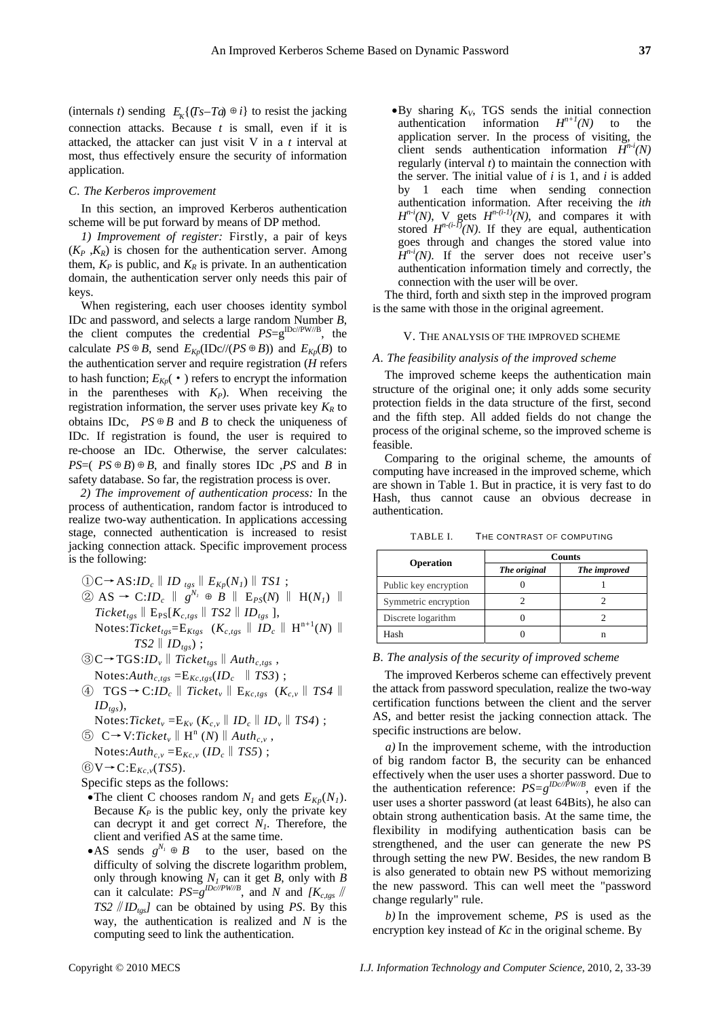(internals *t*) sending  $E_K$ {(*Ts*-*Ta*)  $\oplus$  *i*} to resist the jacking connection attacks. Because *t* is small, even if it is attacked, the attacker can just visit V in a *t* interval at most, thus effectively ensure the security of information application.

#### *C. The Kerberos improvement*

In this section, an improved Kerberos authentication scheme will be put forward by means of DP method.

*1) Improvement of register:* Firstly, a pair of keys  $(K_P, K_R)$  is chosen for the authentication server. Among them,  $K_P$  is public, and  $K_R$  is private. In an authentication domain, the authentication server only needs this pair of keys.

When registering, each user chooses identity symbol IDc and password, and selects a large random Number *B*, the client computes the credential  $PS=g^{\text{IDc/PW}/\text{B}}$ , the calculate  $PS \oplus B$ , send  $E_{Kp}(\text{IDc} \mid / (PS \oplus B))$  and  $E_{Kp}(B)$  to the authentication server and require registration (*H* refers to hash function;  $E_{Kp}(\cdot)$  refers to encrypt the information in the parentheses with  $K_p$ ). When receiving the registration information, the server uses private key  $K_R$  to obtains IDc,  $PS \oplus B$  and *B* to check the uniqueness of IDc. If registration is found, the user is required to re-choose an IDc. Otherwise, the server calculates: *PS*= $(PS \oplus B) \oplus B$ , and finally stores IDc ,*PS* and *B* in safety database. So far, the registration process is over.

*2) The improvement of authentication process:* In the process of authentication, random factor is introduced to realize two-way authentication. In applications accessing stage, connected authentication is increased to resist jacking connection attack. Specific improvement process is the following:

$$
\begin{array}{ll}\n\textcircled{1}C \rightarrow AS: ID_c \parallel ID_{tgs} \parallel E_{Kp}(N_I) \parallel TSI ; \\
\textcircled{2} AS \rightarrow C: ID_c \parallel g^{N_I} \oplus B \parallel E_{PS}(N) \parallel H(N_I) \parallel \\
\textcircled{1}Ticket_{tgs} \parallel E_{PS}[K_{c,tgs} \parallel TS2 \parallel ID_{tgs}], \\
\textcircled{1}Notes:Ticket_{tgs} = E_{Ktgs} \quad (K_{c,tgs} \parallel ID_c \parallel H^{n+1}(N) \parallel \\
\textcircled{1}TS2 \parallel ID_{tgs});\n\end{array}
$$

$$
\textcircled{3C}\rightarrow \text{TGS:}ID_{v} \parallel \textit{Ticket}_{\textit{tgs}} \parallel \textit{Auth}_{c,\textit{tgs}},
$$
  
Notes: 
$$
\textit{Auth}_{c,\textit{tgs}} = E_{Kc,\textit{tgs}}(ID_{c} \parallel \textit{TSS})
$$

- ④ TGS→C:*IDc*‖*Ticketv*‖E*Kc,tgs* (*Kc,v*‖*TS4*‖  $ID_{tgs}$ ),
- Notes:*Ticket<sub>v</sub>* =  $E_{Kv}$  ( $K_{c,v}$  ||  $ID_c$  ||  $ID_v$  ||  $TS4$ ) ;
- $\circledS$   $C \rightarrow V: Ticket_v \parallel H^n(N) \parallel Author_{c,v}$ , Notes: $\text{Aut}h_{c,v} = E_{Kc,v}$  (*ID<sub>c</sub>* || *TS5*) ;
- ⑥V→C:E*Kc,v*(*TS5*).
- 
- Specific steps as the follows:
- •The client C chooses random  $N_l$  and gets  $E_{Kn}(N_l)$ . Because  $K_P$  is the public key, only the private key can decrypt it and get correct  $N<sub>1</sub>$ . Therefore, the client and verified AS at the same time.
- •AS sends  $g^{N_i} \oplus B$  to the user, based on the difficulty of solving the discrete logarithm problem, only through knowing  $N_I$  can it get  $B$ , only with  $B$ can it calculate:  $PS=g^{IDc/PW/B}$ , and *N* and  $IK_{c,tgs}$ *TS2*  $/$  *ID*<sub>tss</sub>*I* can be obtained by using *PS*. By thisway, the authentication is realized and *N* is the computing seed to link the authentication.

 $\bullet$ By sharing  $K_V$ , TGS sends the initial connection authentication information  $H^{n+1}(N)$  to the application server. In the process of visiting, the client sends authentication information  $H^{n-i}(N)$ regularly (interval *t*) to maintain the connection with the server. The initial value of *i* is 1, and *i* is added by 1 each time when sending connection authentication information. After receiving the *ith*  $H^{n-i}(N)$ , V gets  $H^{n-(i-1)}(N)$ , and compares it with stored  $H^{n-(i-1)}(N)$ . If they are equal, authentication goes through and changes the stored value into  $H^{n-i}(N)$ . If the server does not receive user's authentication information timely and correctly, the connection with the user will be over.

The third, forth and sixth step in the improved program is the same with those in the original agreement.

# V. THE ANALYSIS OF THE IMPROVED SCHEME

# *A. The feasibility analysis of the improved scheme*

The improved scheme keeps the authentication main structure of the original one; it only adds some security protection fields in the data structure of the first, second and the fifth step. All added fields do not change the process of the original scheme, so the improved scheme is feasible.

Comparing to the original scheme, the amounts of computing have increased in the improved scheme, which are shown in Table 1. But in practice, it is very fast to do Hash, thus cannot cause an obvious decrease in authentication.

| TABLE I. | THE CONTRAST OF COMPUTING |  |
|----------|---------------------------|--|
|          |                           |  |

|                       | <b>Counts</b> |              |
|-----------------------|---------------|--------------|
| <b>Operation</b>      | The original  | The improved |
| Public key encryption |               |              |
| Symmetric encryption  |               |              |
| Discrete logarithm    |               |              |
| Hash                  |               |              |

#### *B. The analysis of the security of improved scheme*

The improved Kerberos scheme can effectively prevent the attack from password speculation, realize the two-way certification functions between the client and the server AS, and better resist the jacking connection attack. The specific instructions are below.

*a)* In the improvement scheme, with the introduction of big random factor B, the security can be enhanced effectively when the user uses a shorter password. Due to the authentication reference:  $PS=g^{IDc/\bar{P}W/B}$ , even if the user uses a shorter password (at least 64Bits), he also can obtain strong authentication basis. At the same time, the flexibility in modifying authentication basis can be strengthened, and the user can generate the new PS through setting the new PW. Besides, the new random B is also generated to obtain new PS without memorizing the new password. This can well meet the "password change regularly" rule.

*b)* In the improvement scheme, *PS* is used as the encryption key instead of *Kc* in the original scheme. By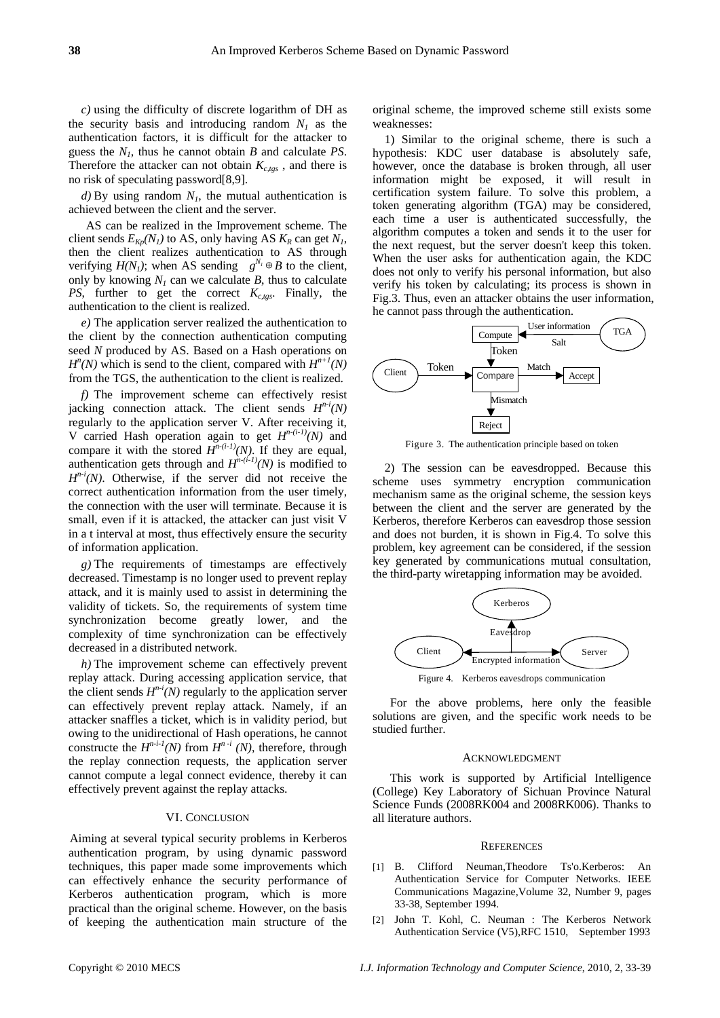*c)* using the difficulty of discrete logarithm of DH as the security basis and introducing random  $N_l$  as the authentication factors, it is difficult for the attacker to guess the *N1*, thus he cannot obtain *B* and calculate *PS*. Therefore the attacker can not obtain  $K_{c, \text{tors}}$ , and there is no risk of speculating password[8,9].

 $d$ ) By using random  $N<sub>1</sub>$ , the mutual authentication is achieved between the client and the server.

AS can be realized in the Improvement scheme. The client sends  $E_{Kp}(N_1)$  to AS, only having AS  $K_R$  can get  $N_1$ , then the client realizes authentication to AS through verifying  $H(N_1)$ ; when AS sending  $g^{N_1} \oplus B$  to the client, only by knowing  $N_l$  can we calculate  $B$ , thus to calculate *PS*, further to get the correct  $K_{c,tgs}$ . Finally, the authentication to the client is realized.

*e)* The application server realized the authentication to the client by the connection authentication computing seed *N* produced by AS. Based on a Hash operations on  $H^{n}(N)$  which is send to the client, compared with  $H^{n+1}(N)$ from the TGS, the authentication to the client is realized.

*f)* The improvement scheme can effectively resist jacking connection attack. The client sends  $H^{n-i}(N)$ regularly to the application server V. After receiving it, V carried Hash operation again to get  $H^{n-(i-1)}(N)$  and compare it with the stored  $H^{n-(i-1)}(N)$ . If they are equal, authentication gets through and  $H^{n-(i-1)}(N)$  is modified to  $H^{n-i}(N)$ . Otherwise, if the server did not receive the correct authentication information from the user timely, the connection with the user will terminate. Because it is small, even if it is attacked, the attacker can just visit V in a t interval at most, thus effectively ensure the security of information application.

*g)* The requirements of timestamps are effectively decreased. Timestamp is no longer used to prevent replay attack, and it is mainly used to assist in determining the validity of tickets. So, the requirements of system time synchronization become greatly lower, and the complexity of time synchronization can be effectively decreased in a distributed network.

*h)* The improvement scheme can effectively prevent replay attack. During accessing application service, that the client sends  $H^{n-i}(N)$  regularly to the application server can effectively prevent replay attack. Namely, if an attacker snaffles a ticket, which is in validity period, but owing to the unidirectional of Hash operations, he cannot constructe the  $H^{n-i-1}(N)$  from  $H^{n-i}(N)$ , therefore, through the replay connection requests, the application server cannot compute a legal connect evidence, thereby it can effectively prevent against the replay attacks.

#### VI. CONCLUSION

Aiming at several typical security problems in Kerberos authentication program, by using dynamic password techniques, this paper made some improvements which can effectively enhance the security performance of Kerberos authentication program, which is more practical than the original scheme. However, on the basis of keeping the authentication main structure of the original scheme, the improved scheme still exists some weaknesses:

1) Similar to the original scheme, there is such a hypothesis: KDC user database is absolutely safe, however, once the database is broken through, all user information might be exposed, it will result in certification system failure. To solve this problem, a token generating algorithm (TGA) may be considered, each time a user is authenticated successfully, the algorithm computes a token and sends it to the user for the next request, but the server doesn't keep this token. When the user asks for authentication again, the KDC does not only to verify his personal information, but also verify his token by calculating; its process is shown in Fig.3. Thus, even an attacker obtains the user information, he cannot pass through the authentication.



Figure 3. The authentication principle based on token

2) The session can be eavesdropped. Because this scheme uses symmetry encryption communication mechanism same as the original scheme, the session keys between the client and the server are generated by the Kerberos, therefore Kerberos can eavesdrop those session and does not burden, it is shown in Fig.4. To solve this problem, key agreement can be considered, if the session key generated by communications mutual consultation, the third-party wiretapping information may be avoided.



For the above problems, here only the feasible solutions are given, and the specific work needs to be studied further.

#### ACKNOWLEDGMENT

This work is supported by Artificial Intelligence (College) Key Laboratory of Sichuan Province Natural Science Funds (2008RK004 and 2008RK006). Thanks to all literature authors.

#### **REFERENCES**

- [1] B. Clifford Neuman,Theodore Ts'o.Kerberos: An Authentication Service for Computer Networks. IEEE Communications Magazine,Volume 32, Number 9, pages 33-38, September 1994.
- [2] John T. Kohl, C. Neuman : The Kerberos Network Authentication Service (V5),RFC 1510, September 1993